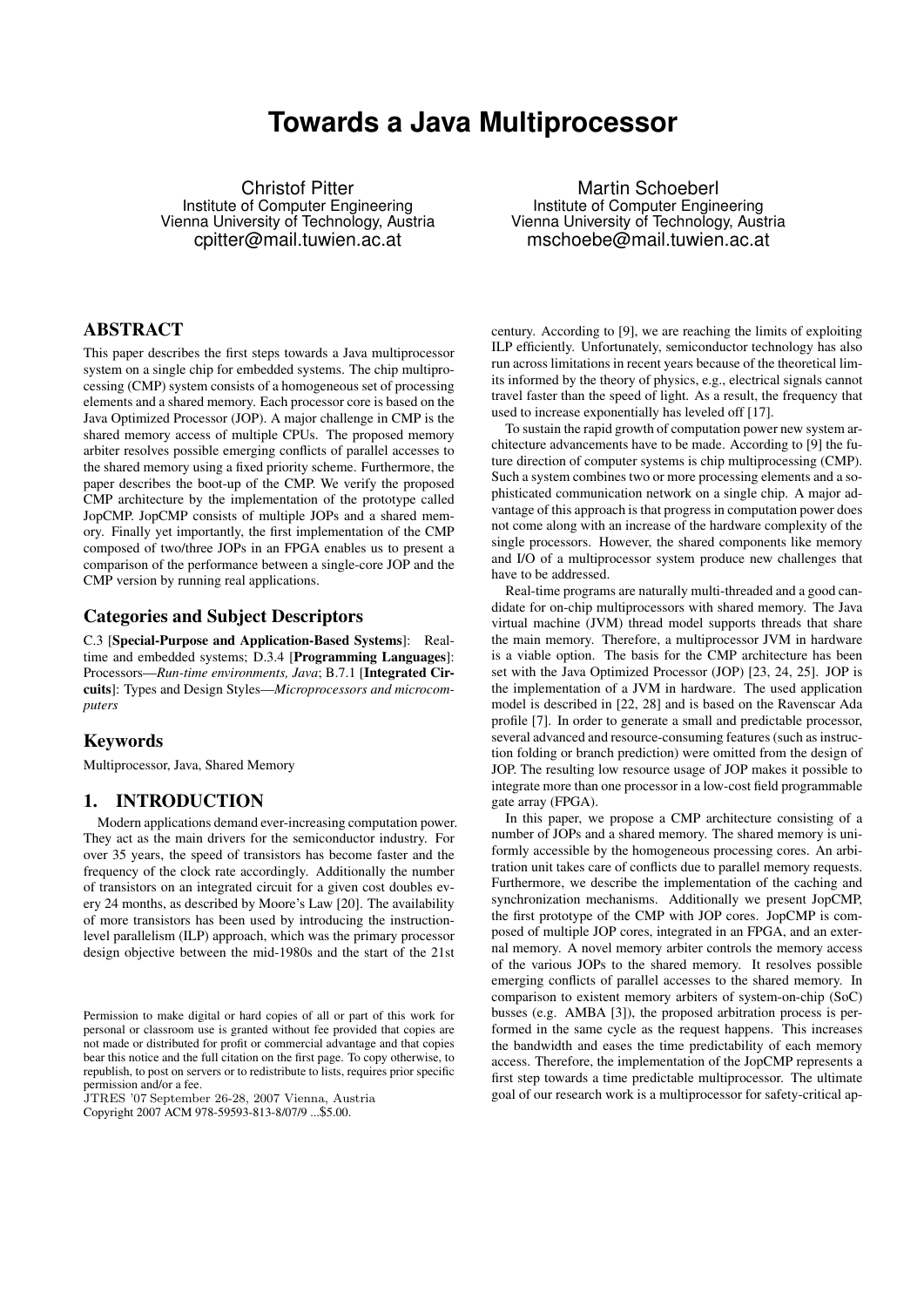# **Towards a Java Multiprocessor**

Christof Pitter Institute of Computer Engineering Vienna University of Technology, Austria cpitter@mail.tuwien.ac.at

# ABSTRACT

This paper describes the first steps towards a Java multiprocessor system on a single chip for embedded systems. The chip multiprocessing (CMP) system consists of a homogeneous set of processing elements and a shared memory. Each processor core is based on the Java Optimized Processor (JOP). A major challenge in CMP is the shared memory access of multiple CPUs. The proposed memory arbiter resolves possible emerging conflicts of parallel accesses to the shared memory using a fixed priority scheme. Furthermore, the paper describes the boot-up of the CMP. We verify the proposed CMP architecture by the implementation of the prototype called JopCMP. JopCMP consists of multiple JOPs and a shared memory. Finally yet importantly, the first implementation of the CMP composed of two/three JOPs in an FPGA enables us to present a comparison of the performance between a single-core JOP and the CMP version by running real applications.

#### Categories and Subject Descriptors

C.3 [Special-Purpose and Application-Based Systems]: Realtime and embedded systems; D.3.4 [Programming Languages]: Processors—*Run-time environments, Java*; B.7.1 [Integrated Circuits]: Types and Design Styles—*Microprocessors and microcomputers*

## Keywords

Multiprocessor, Java, Shared Memory

## 1. INTRODUCTION

Modern applications demand ever-increasing computation power. They act as the main drivers for the semiconductor industry. For over 35 years, the speed of transistors has become faster and the frequency of the clock rate accordingly. Additionally the number of transistors on an integrated circuit for a given cost doubles every 24 months, as described by Moore's Law [\[20\]](#page-7-0). The availability of more transistors has been used by introducing the instructionlevel parallelism (ILP) approach, which was the primary processor design objective between the mid-1980s and the start of the 21st

JTRES '07 September 26-28, 2007 Vienna, Austria Copyright 2007 ACM 978-59593-813-8/07/9 ...\$5.00.

Martin Schoeberl Institute of Computer Engineering Vienna University of Technology, Austria mschoebe@mail.tuwien.ac.at

century. According to [\[9\]](#page-7-1), we are reaching the limits of exploiting ILP efficiently. Unfortunately, semiconductor technology has also run across limitations in recent years because of the theoretical limits informed by the theory of physics, e.g., electrical signals cannot travel faster than the speed of light. As a result, the frequency that used to increase exponentially has leveled off [\[17\]](#page-7-2).

To sustain the rapid growth of computation power new system architecture advancements have to be made. According to [\[9\]](#page-7-1) the future direction of computer systems is chip multiprocessing (CMP). Such a system combines two or more processing elements and a sophisticated communication network on a single chip. A major advantage of this approach is that progress in computation power does not come along with an increase of the hardware complexity of the single processors. However, the shared components like memory and I/O of a multiprocessor system produce new challenges that have to be addressed.

Real-time programs are naturally multi-threaded and a good candidate for on-chip multiprocessors with shared memory. The Java virtual machine (JVM) thread model supports threads that share the main memory. Therefore, a multiprocessor JVM in hardware is a viable option. The basis for the CMP architecture has been set with the Java Optimized Processor (JOP) [\[23,](#page-7-3) [24,](#page-7-4) [25\]](#page-7-5). JOP is the implementation of a JVM in hardware. The used application model is described in [\[22,](#page-7-6) [28\]](#page-7-7) and is based on the Ravenscar Ada profile [\[7\]](#page-7-8). In order to generate a small and predictable processor, several advanced and resource-consuming features (such as instruction folding or branch prediction) were omitted from the design of JOP. The resulting low resource usage of JOP makes it possible to integrate more than one processor in a low-cost field programmable gate array (FPGA).

In this paper, we propose a CMP architecture consisting of a number of JOPs and a shared memory. The shared memory is uniformly accessible by the homogeneous processing cores. An arbitration unit takes care of conflicts due to parallel memory requests. Furthermore, we describe the implementation of the caching and synchronization mechanisms. Additionally we present JopCMP, the first prototype of the CMP with JOP cores. JopCMP is composed of multiple JOP cores, integrated in an FPGA, and an external memory. A novel memory arbiter controls the memory access of the various JOPs to the shared memory. It resolves possible emerging conflicts of parallel accesses to the shared memory. In comparison to existent memory arbiters of system-on-chip (SoC) busses (e.g. AMBA [\[3\]](#page-7-9)), the proposed arbitration process is performed in the same cycle as the request happens. This increases the bandwidth and eases the time predictability of each memory access. Therefore, the implementation of the JopCMP represents a first step towards a time predictable multiprocessor. The ultimate goal of our research work is a multiprocessor for safety-critical ap-

Permission to make digital or hard copies of all or part of this work for personal or classroom use is granted without fee provided that copies are not made or distributed for profit or commercial advantage and that copies bear this notice and the full citation on the first page. To copy otherwise, to republish, to post on servers or to redistribute to lists, requires prior specific permission and/or a fee.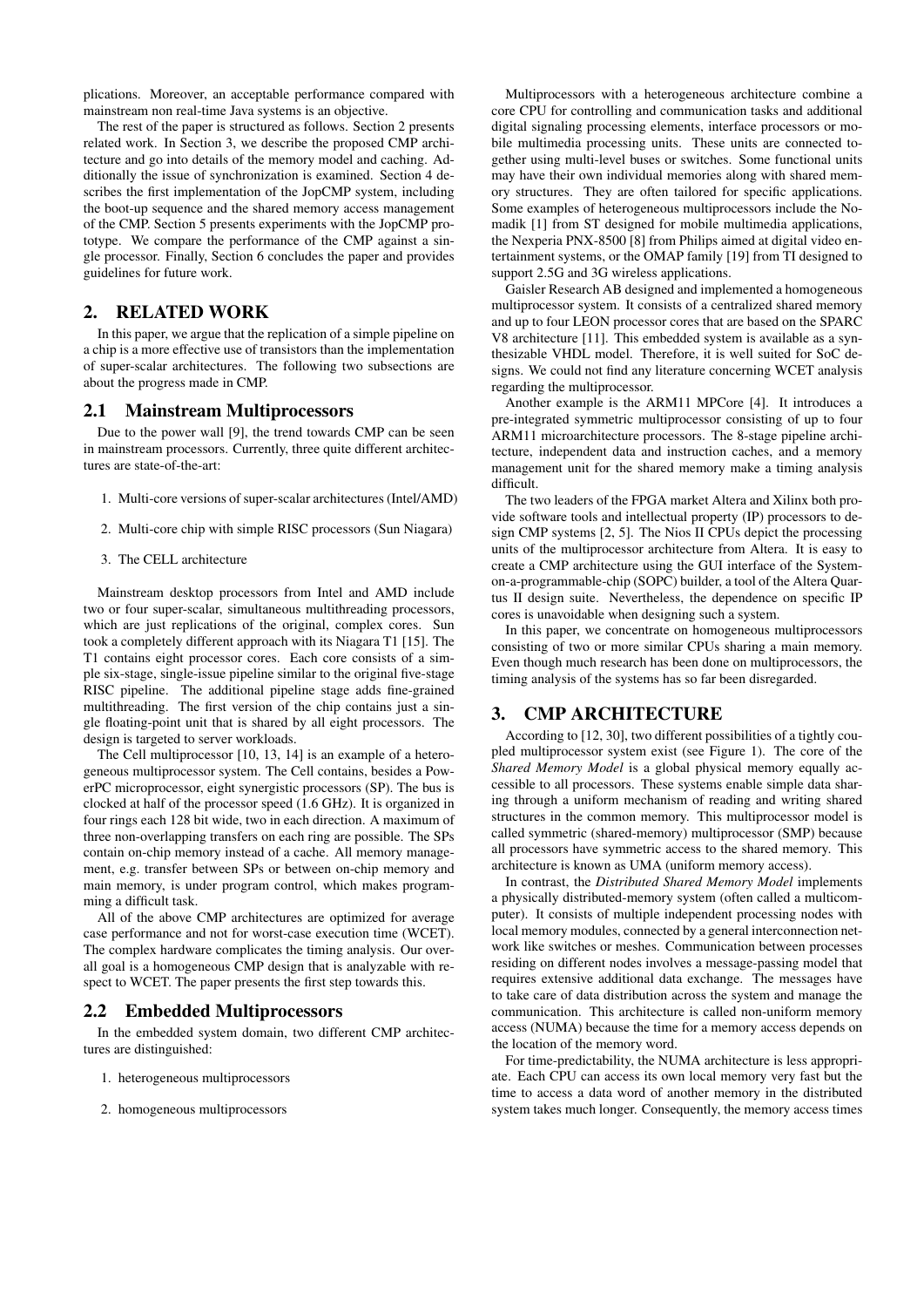plications. Moreover, an acceptable performance compared with mainstream non real-time Java systems is an objective.

The rest of the paper is structured as follows. Section 2 presents related work. In Section 3, we describe the proposed CMP architecture and go into details of the memory model and caching. Additionally the issue of synchronization is examined. Section 4 describes the first implementation of the JopCMP system, including the boot-up sequence and the shared memory access management of the CMP. Section 5 presents experiments with the JopCMP prototype. We compare the performance of the CMP against a single processor. Finally, Section 6 concludes the paper and provides guidelines for future work.

# 2. RELATED WORK

In this paper, we argue that the replication of a simple pipeline on a chip is a more effective use of transistors than the implementation of super-scalar architectures. The following two subsections are about the progress made in CMP.

#### 2.1 Mainstream Multiprocessors

Due to the power wall [\[9\]](#page-7-1), the trend towards CMP can be seen in mainstream processors. Currently, three quite different architectures are state-of-the-art:

- 1. Multi-core versions of super-scalar architectures (Intel/AMD)
- 2. Multi-core chip with simple RISC processors (Sun Niagara)
- 3. The CELL architecture

Mainstream desktop processors from Intel and AMD include two or four super-scalar, simultaneous multithreading processors, which are just replications of the original, complex cores. Sun took a completely different approach with its Niagara T1 [\[15\]](#page-7-10). The T1 contains eight processor cores. Each core consists of a simple six-stage, single-issue pipeline similar to the original five-stage RISC pipeline. The additional pipeline stage adds fine-grained multithreading. The first version of the chip contains just a single floating-point unit that is shared by all eight processors. The design is targeted to server workloads.

The Cell multiprocessor [\[10,](#page-7-11) [13,](#page-7-12) [14\]](#page-7-13) is an example of a heterogeneous multiprocessor system. The Cell contains, besides a PowerPC microprocessor, eight synergistic processors (SP). The bus is clocked at half of the processor speed (1.6 GHz). It is organized in four rings each 128 bit wide, two in each direction. A maximum of three non-overlapping transfers on each ring are possible. The SPs contain on-chip memory instead of a cache. All memory management, e.g. transfer between SPs or between on-chip memory and main memory, is under program control, which makes programming a difficult task.

All of the above CMP architectures are optimized for average case performance and not for worst-case execution time (WCET). The complex hardware complicates the timing analysis. Our overall goal is a homogeneous CMP design that is analyzable with respect to WCET. The paper presents the first step towards this.

## 2.2 Embedded Multiprocessors

In the embedded system domain, two different CMP architectures are distinguished:

- 1. heterogeneous multiprocessors
- 2. homogeneous multiprocessors

Multiprocessors with a heterogeneous architecture combine a core CPU for controlling and communication tasks and additional digital signaling processing elements, interface processors or mobile multimedia processing units. These units are connected together using multi-level buses or switches. Some functional units may have their own individual memories along with shared memory structures. They are often tailored for specific applications. Some examples of heterogeneous multiprocessors include the Nomadik [\[1\]](#page-6-0) from ST designed for mobile multimedia applications, the Nexperia PNX-8500 [\[8\]](#page-7-14) from Philips aimed at digital video entertainment systems, or the OMAP family [\[19\]](#page-7-15) from TI designed to support 2.5G and 3G wireless applications.

Gaisler Research AB designed and implemented a homogeneous multiprocessor system. It consists of a centralized shared memory and up to four LEON processor cores that are based on the SPARC V8 architecture [\[11\]](#page-7-16). This embedded system is available as a synthesizable VHDL model. Therefore, it is well suited for SoC designs. We could not find any literature concerning WCET analysis regarding the multiprocessor.

Another example is the ARM11 MPCore [\[4\]](#page-7-17). It introduces a pre-integrated symmetric multiprocessor consisting of up to four ARM11 microarchitecture processors. The 8-stage pipeline architecture, independent data and instruction caches, and a memory management unit for the shared memory make a timing analysis difficult.

The two leaders of the FPGA market Altera and Xilinx both provide software tools and intellectual property (IP) processors to design CMP systems [\[2,](#page-7-18) [5\]](#page-7-19). The Nios II CPUs depict the processing units of the multiprocessor architecture from Altera. It is easy to create a CMP architecture using the GUI interface of the Systemon-a-programmable-chip (SOPC) builder, a tool of the Altera Quartus II design suite. Nevertheless, the dependence on specific IP cores is unavoidable when designing such a system.

In this paper, we concentrate on homogeneous multiprocessors consisting of two or more similar CPUs sharing a main memory. Even though much research has been done on multiprocessors, the timing analysis of the systems has so far been disregarded.

#### 3. CMP ARCHITECTURE

According to [\[12,](#page-7-20) [30\]](#page-7-21), two different possibilities of a tightly coupled multiprocessor system exist (see Figure [1\)](#page-2-0). The core of the *Shared Memory Model* is a global physical memory equally accessible to all processors. These systems enable simple data sharing through a uniform mechanism of reading and writing shared structures in the common memory. This multiprocessor model is called symmetric (shared-memory) multiprocessor (SMP) because all processors have symmetric access to the shared memory. This architecture is known as UMA (uniform memory access).

In contrast, the *Distributed Shared Memory Model* implements a physically distributed-memory system (often called a multicomputer). It consists of multiple independent processing nodes with local memory modules, connected by a general interconnection network like switches or meshes. Communication between processes residing on different nodes involves a message-passing model that requires extensive additional data exchange. The messages have to take care of data distribution across the system and manage the communication. This architecture is called non-uniform memory access (NUMA) because the time for a memory access depends on the location of the memory word.

For time-predictability, the NUMA architecture is less appropriate. Each CPU can access its own local memory very fast but the time to access a data word of another memory in the distributed system takes much longer. Consequently, the memory access times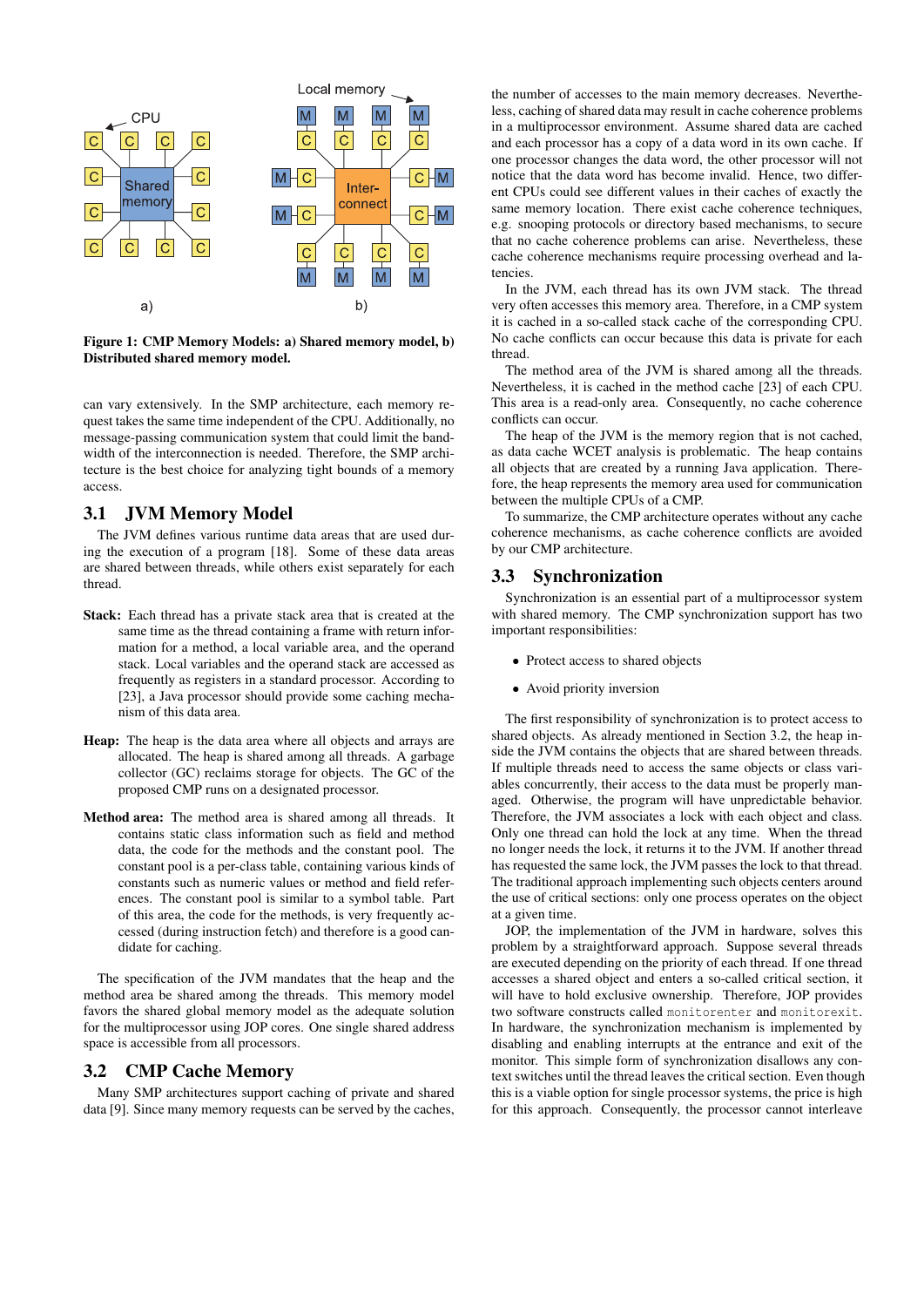

<span id="page-2-0"></span>Figure 1: CMP Memory Models: a) Shared memory model, b) Distributed shared memory model.

can vary extensively. In the SMP architecture, each memory request takes the same time independent of the CPU. Additionally, no message-passing communication system that could limit the bandwidth of the interconnection is needed. Therefore, the SMP architecture is the best choice for analyzing tight bounds of a memory access.

# 3.1 JVM Memory Model

The JVM defines various runtime data areas that are used during the execution of a program [\[18\]](#page-7-22). Some of these data areas are shared between threads, while others exist separately for each thread.

- Stack: Each thread has a private stack area that is created at the same time as the thread containing a frame with return information for a method, a local variable area, and the operand stack. Local variables and the operand stack are accessed as frequently as registers in a standard processor. According to [\[23\]](#page-7-3), a Java processor should provide some caching mechanism of this data area.
- Heap: The heap is the data area where all objects and arrays are allocated. The heap is shared among all threads. A garbage collector (GC) reclaims storage for objects. The GC of the proposed CMP runs on a designated processor.
- Method area: The method area is shared among all threads. It contains static class information such as field and method data, the code for the methods and the constant pool. The constant pool is a per-class table, containing various kinds of constants such as numeric values or method and field references. The constant pool is similar to a symbol table. Part of this area, the code for the methods, is very frequently accessed (during instruction fetch) and therefore is a good candidate for caching.

The specification of the JVM mandates that the heap and the method area be shared among the threads. This memory model favors the shared global memory model as the adequate solution for the multiprocessor using JOP cores. One single shared address space is accessible from all processors.

#### <span id="page-2-1"></span>3.2 CMP Cache Memory

Many SMP architectures support caching of private and shared data [\[9\]](#page-7-1). Since many memory requests can be served by the caches,

the number of accesses to the main memory decreases. Nevertheless, caching of shared data may result in cache coherence problems in a multiprocessor environment. Assume shared data are cached and each processor has a copy of a data word in its own cache. If one processor changes the data word, the other processor will not notice that the data word has become invalid. Hence, two different CPUs could see different values in their caches of exactly the same memory location. There exist cache coherence techniques, e.g. snooping protocols or directory based mechanisms, to secure that no cache coherence problems can arise. Nevertheless, these cache coherence mechanisms require processing overhead and latencies.

In the JVM, each thread has its own JVM stack. The thread very often accesses this memory area. Therefore, in a CMP system it is cached in a so-called stack cache of the corresponding CPU. No cache conflicts can occur because this data is private for each thread.

The method area of the JVM is shared among all the threads. Nevertheless, it is cached in the method cache [\[23\]](#page-7-3) of each CPU. This area is a read-only area. Consequently, no cache coherence conflicts can occur.

The heap of the JVM is the memory region that is not cached, as data cache WCET analysis is problematic. The heap contains all objects that are created by a running Java application. Therefore, the heap represents the memory area used for communication between the multiple CPUs of a CMP.

To summarize, the CMP architecture operates without any cache coherence mechanisms, as cache coherence conflicts are avoided by our CMP architecture.

#### 3.3 Synchronization

Synchronization is an essential part of a multiprocessor system with shared memory. The CMP synchronization support has two important responsibilities:

- Protect access to shared objects
- Avoid priority inversion

The first responsibility of synchronization is to protect access to shared objects. As already mentioned in Section [3.2,](#page-2-1) the heap inside the JVM contains the objects that are shared between threads. If multiple threads need to access the same objects or class variables concurrently, their access to the data must be properly managed. Otherwise, the program will have unpredictable behavior. Therefore, the JVM associates a lock with each object and class. Only one thread can hold the lock at any time. When the thread no longer needs the lock, it returns it to the JVM. If another thread has requested the same lock, the JVM passes the lock to that thread. The traditional approach implementing such objects centers around the use of critical sections: only one process operates on the object at a given time.

JOP, the implementation of the JVM in hardware, solves this problem by a straightforward approach. Suppose several threads are executed depending on the priority of each thread. If one thread accesses a shared object and enters a so-called critical section, it will have to hold exclusive ownership. Therefore, JOP provides two software constructs called monitorenter and monitorexit. In hardware, the synchronization mechanism is implemented by disabling and enabling interrupts at the entrance and exit of the monitor. This simple form of synchronization disallows any context switches until the thread leaves the critical section. Even though this is a viable option for single processor systems, the price is high for this approach. Consequently, the processor cannot interleave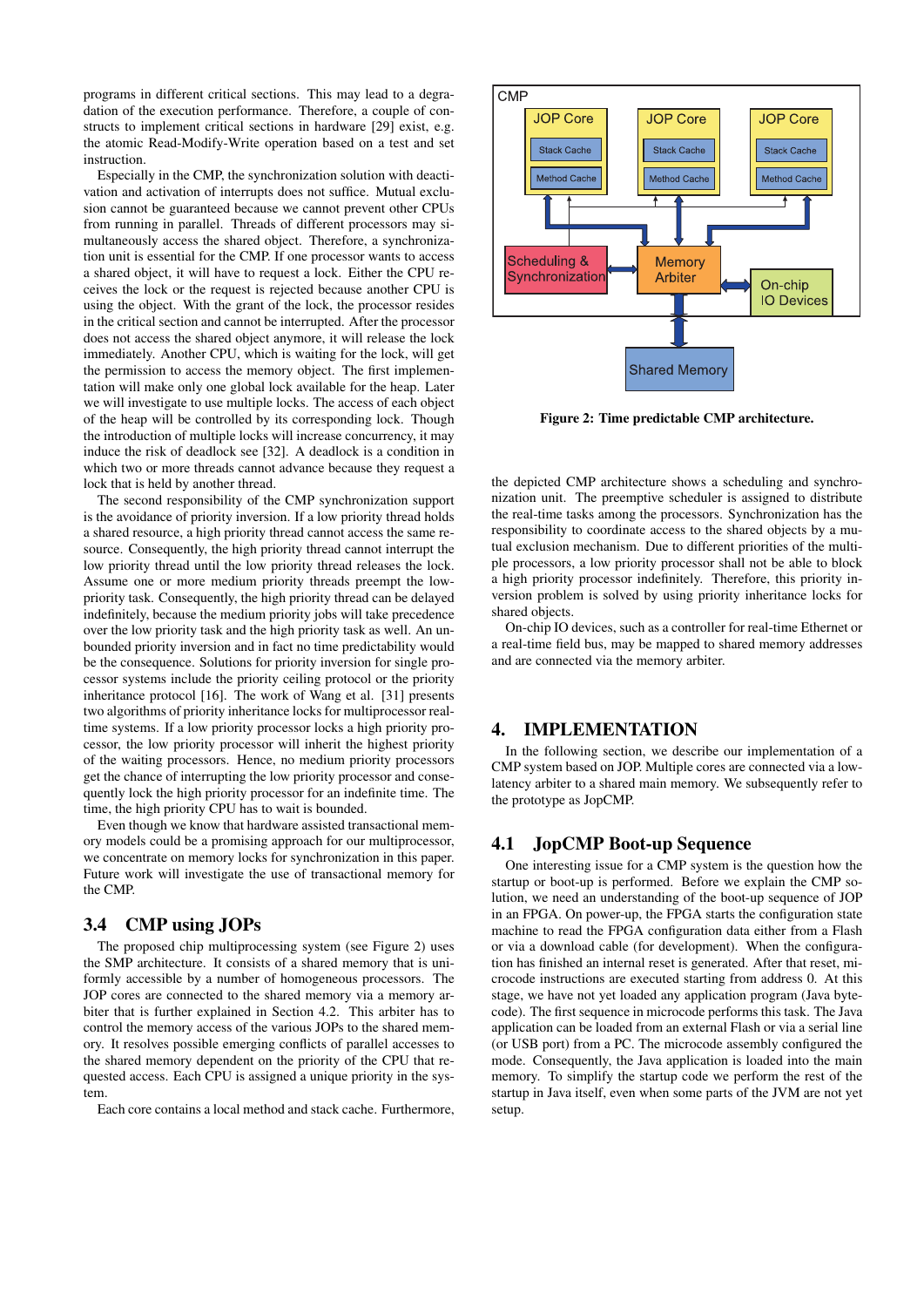programs in different critical sections. This may lead to a degradation of the execution performance. Therefore, a couple of constructs to implement critical sections in hardware [\[29\]](#page-7-23) exist, e.g. the atomic Read-Modify-Write operation based on a test and set instruction.

Especially in the CMP, the synchronization solution with deactivation and activation of interrupts does not suffice. Mutual exclusion cannot be guaranteed because we cannot prevent other CPUs from running in parallel. Threads of different processors may simultaneously access the shared object. Therefore, a synchronization unit is essential for the CMP. If one processor wants to access a shared object, it will have to request a lock. Either the CPU receives the lock or the request is rejected because another CPU is using the object. With the grant of the lock, the processor resides in the critical section and cannot be interrupted. After the processor does not access the shared object anymore, it will release the lock immediately. Another CPU, which is waiting for the lock, will get the permission to access the memory object. The first implementation will make only one global lock available for the heap. Later we will investigate to use multiple locks. The access of each object of the heap will be controlled by its corresponding lock. Though the introduction of multiple locks will increase concurrency, it may induce the risk of deadlock see [\[32\]](#page-7-24). A deadlock is a condition in which two or more threads cannot advance because they request a lock that is held by another thread.

The second responsibility of the CMP synchronization support is the avoidance of priority inversion. If a low priority thread holds a shared resource, a high priority thread cannot access the same resource. Consequently, the high priority thread cannot interrupt the low priority thread until the low priority thread releases the lock. Assume one or more medium priority threads preempt the lowpriority task. Consequently, the high priority thread can be delayed indefinitely, because the medium priority jobs will take precedence over the low priority task and the high priority task as well. An unbounded priority inversion and in fact no time predictability would be the consequence. Solutions for priority inversion for single processor systems include the priority ceiling protocol or the priority inheritance protocol [\[16\]](#page-7-25). The work of Wang et al. [\[31\]](#page-7-26) presents two algorithms of priority inheritance locks for multiprocessor realtime systems. If a low priority processor locks a high priority processor, the low priority processor will inherit the highest priority of the waiting processors. Hence, no medium priority processors get the chance of interrupting the low priority processor and consequently lock the high priority processor for an indefinite time. The time, the high priority CPU has to wait is bounded.

Even though we know that hardware assisted transactional memory models could be a promising approach for our multiprocessor, we concentrate on memory locks for synchronization in this paper. Future work will investigate the use of transactional memory for the CMP.

# 3.4 CMP using JOPs

The proposed chip multiprocessing system (see Figure [2\)](#page-3-0) uses the SMP architecture. It consists of a shared memory that is uniformly accessible by a number of homogeneous processors. The JOP cores are connected to the shared memory via a memory arbiter that is further explained in Section [4.2.](#page-4-0) This arbiter has to control the memory access of the various JOPs to the shared memory. It resolves possible emerging conflicts of parallel accesses to the shared memory dependent on the priority of the CPU that requested access. Each CPU is assigned a unique priority in the system.

Each core contains a local method and stack cache. Furthermore,



<span id="page-3-0"></span>Figure 2: Time predictable CMP architecture.

the depicted CMP architecture shows a scheduling and synchronization unit. The preemptive scheduler is assigned to distribute the real-time tasks among the processors. Synchronization has the responsibility to coordinate access to the shared objects by a mutual exclusion mechanism. Due to different priorities of the multiple processors, a low priority processor shall not be able to block a high priority processor indefinitely. Therefore, this priority inversion problem is solved by using priority inheritance locks for shared objects.

On-chip IO devices, such as a controller for real-time Ethernet or a real-time field bus, may be mapped to shared memory addresses and are connected via the memory arbiter.

## 4. IMPLEMENTATION

In the following section, we describe our implementation of a CMP system based on JOP. Multiple cores are connected via a lowlatency arbiter to a shared main memory. We subsequently refer to the prototype as JopCMP.

## <span id="page-3-1"></span>4.1 JopCMP Boot-up Sequence

One interesting issue for a CMP system is the question how the startup or boot-up is performed. Before we explain the CMP solution, we need an understanding of the boot-up sequence of JOP in an FPGA. On power-up, the FPGA starts the configuration state machine to read the FPGA configuration data either from a Flash or via a download cable (for development). When the configuration has finished an internal reset is generated. After that reset, microcode instructions are executed starting from address 0. At this stage, we have not yet loaded any application program (Java bytecode). The first sequence in microcode performs this task. The Java application can be loaded from an external Flash or via a serial line (or USB port) from a PC. The microcode assembly configured the mode. Consequently, the Java application is loaded into the main memory. To simplify the startup code we perform the rest of the startup in Java itself, even when some parts of the JVM are not yet setup.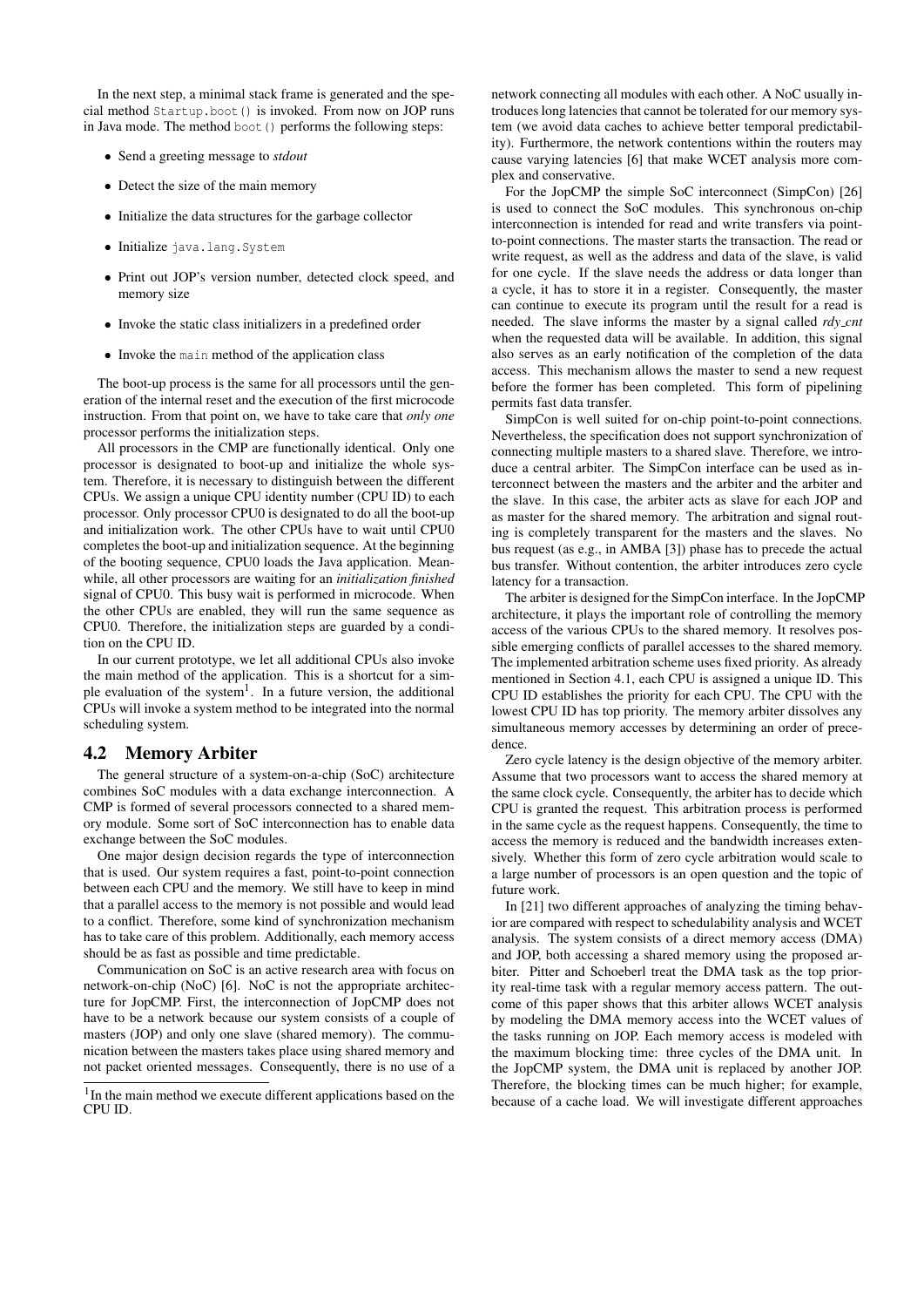In the next step, a minimal stack frame is generated and the special method Startup.boot() is invoked. From now on JOP runs in Java mode. The method boot () performs the following steps:

- Send a greeting message to *stdout*
- Detect the size of the main memory
- Initialize the data structures for the garbage collector
- Initialize java.lang.System
- Print out JOP's version number, detected clock speed, and memory size
- Invoke the static class initializers in a predefined order
- Invoke the main method of the application class

The boot-up process is the same for all processors until the generation of the internal reset and the execution of the first microcode instruction. From that point on, we have to take care that *only one* processor performs the initialization steps.

All processors in the CMP are functionally identical. Only one processor is designated to boot-up and initialize the whole system. Therefore, it is necessary to distinguish between the different CPUs. We assign a unique CPU identity number (CPU ID) to each processor. Only processor CPU0 is designated to do all the boot-up and initialization work. The other CPUs have to wait until CPU0 completes the boot-up and initialization sequence. At the beginning of the booting sequence, CPU0 loads the Java application. Meanwhile, all other processors are waiting for an *initialization finished* signal of CPU0. This busy wait is performed in microcode. When the other CPUs are enabled, they will run the same sequence as CPU0. Therefore, the initialization steps are guarded by a condition on the CPU ID.

In our current prototype, we let all additional CPUs also invoke the main method of the application. This is a shortcut for a sim-ple evaluation of the system<sup>[1](#page-4-1)</sup>. In a future version, the additional CPUs will invoke a system method to be integrated into the normal scheduling system.

## <span id="page-4-0"></span>4.2 Memory Arbiter

The general structure of a system-on-a-chip (SoC) architecture combines SoC modules with a data exchange interconnection. A CMP is formed of several processors connected to a shared memory module. Some sort of SoC interconnection has to enable data exchange between the SoC modules.

One major design decision regards the type of interconnection that is used. Our system requires a fast, point-to-point connection between each CPU and the memory. We still have to keep in mind that a parallel access to the memory is not possible and would lead to a conflict. Therefore, some kind of synchronization mechanism has to take care of this problem. Additionally, each memory access should be as fast as possible and time predictable.

Communication on SoC is an active research area with focus on network-on-chip (NoC) [\[6\]](#page-7-27). NoC is not the appropriate architecture for JopCMP. First, the interconnection of JopCMP does not have to be a network because our system consists of a couple of masters (JOP) and only one slave (shared memory). The communication between the masters takes place using shared memory and not packet oriented messages. Consequently, there is no use of a

network connecting all modules with each other. A NoC usually introduces long latencies that cannot be tolerated for our memory system (we avoid data caches to achieve better temporal predictability). Furthermore, the network contentions within the routers may cause varying latencies [\[6\]](#page-7-27) that make WCET analysis more complex and conservative.

For the JopCMP the simple SoC interconnect (SimpCon) [\[26\]](#page-7-28) is used to connect the SoC modules. This synchronous on-chip interconnection is intended for read and write transfers via pointto-point connections. The master starts the transaction. The read or write request, as well as the address and data of the slave, is valid for one cycle. If the slave needs the address or data longer than a cycle, it has to store it in a register. Consequently, the master can continue to execute its program until the result for a read is needed. The slave informs the master by a signal called *rdy cnt* when the requested data will be available. In addition, this signal also serves as an early notification of the completion of the data access. This mechanism allows the master to send a new request before the former has been completed. This form of pipelining permits fast data transfer.

SimpCon is well suited for on-chip point-to-point connections. Nevertheless, the specification does not support synchronization of connecting multiple masters to a shared slave. Therefore, we introduce a central arbiter. The SimpCon interface can be used as interconnect between the masters and the arbiter and the arbiter and the slave. In this case, the arbiter acts as slave for each JOP and as master for the shared memory. The arbitration and signal routing is completely transparent for the masters and the slaves. No bus request (as e.g., in AMBA [\[3\]](#page-7-9)) phase has to precede the actual bus transfer. Without contention, the arbiter introduces zero cycle latency for a transaction.

The arbiter is designed for the SimpCon interface. In the JopCMP architecture, it plays the important role of controlling the memory access of the various CPUs to the shared memory. It resolves possible emerging conflicts of parallel accesses to the shared memory. The implemented arbitration scheme uses fixed priority. As already mentioned in Section [4.1,](#page-3-1) each CPU is assigned a unique ID. This CPU ID establishes the priority for each CPU. The CPU with the lowest CPU ID has top priority. The memory arbiter dissolves any simultaneous memory accesses by determining an order of precedence.

Zero cycle latency is the design objective of the memory arbiter. Assume that two processors want to access the shared memory at the same clock cycle. Consequently, the arbiter has to decide which CPU is granted the request. This arbitration process is performed in the same cycle as the request happens. Consequently, the time to access the memory is reduced and the bandwidth increases extensively. Whether this form of zero cycle arbitration would scale to a large number of processors is an open question and the topic of future work.

In [\[21\]](#page-7-29) two different approaches of analyzing the timing behavior are compared with respect to schedulability analysis and WCET analysis. The system consists of a direct memory access (DMA) and JOP, both accessing a shared memory using the proposed arbiter. Pitter and Schoeberl treat the DMA task as the top priority real-time task with a regular memory access pattern. The outcome of this paper shows that this arbiter allows WCET analysis by modeling the DMA memory access into the WCET values of the tasks running on JOP. Each memory access is modeled with the maximum blocking time: three cycles of the DMA unit. In the JopCMP system, the DMA unit is replaced by another JOP. Therefore, the blocking times can be much higher; for example, because of a cache load. We will investigate different approaches

<span id="page-4-1"></span><sup>&</sup>lt;sup>1</sup>In the main method we execute different applications based on the CPU ID.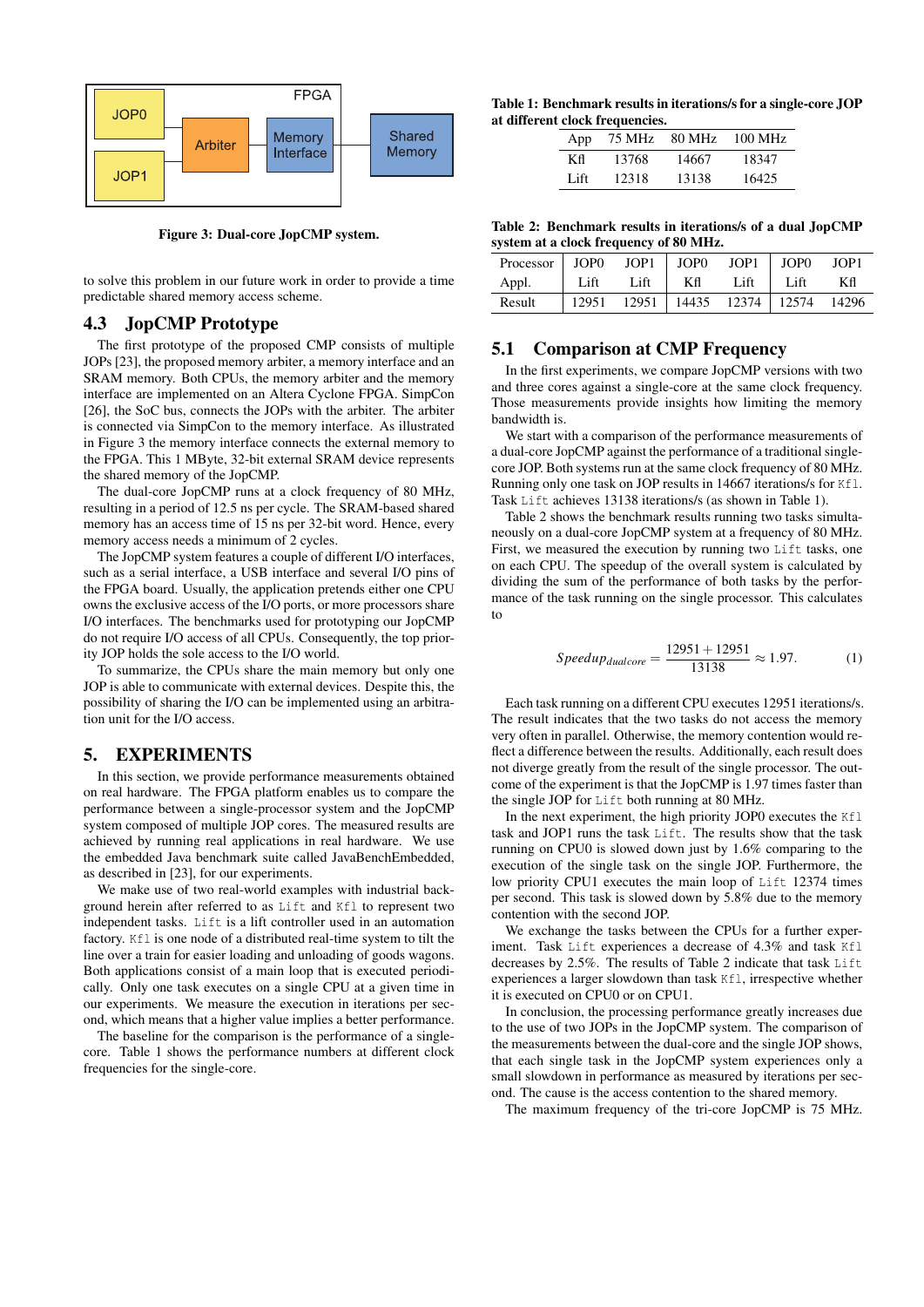

<span id="page-5-0"></span>Figure 3: Dual-core JopCMP system.

to solve this problem in our future work in order to provide a time predictable shared memory access scheme.

#### 4.3 JopCMP Prototype

The first prototype of the proposed CMP consists of multiple JOPs [\[23\]](#page-7-3), the proposed memory arbiter, a memory interface and an SRAM memory. Both CPUs, the memory arbiter and the memory interface are implemented on an Altera Cyclone FPGA. SimpCon [\[26\]](#page-7-28), the SoC bus, connects the JOPs with the arbiter. The arbiter is connected via SimpCon to the memory interface. As illustrated in Figure [3](#page-5-0) the memory interface connects the external memory to the FPGA. This 1 MByte, 32-bit external SRAM device represents the shared memory of the JopCMP.

The dual-core JopCMP runs at a clock frequency of 80 MHz, resulting in a period of 12.5 ns per cycle. The SRAM-based shared memory has an access time of 15 ns per 32-bit word. Hence, every memory access needs a minimum of 2 cycles.

The JopCMP system features a couple of different I/O interfaces, such as a serial interface, a USB interface and several I/O pins of the FPGA board. Usually, the application pretends either one CPU owns the exclusive access of the I/O ports, or more processors share I/O interfaces. The benchmarks used for prototyping our JopCMP do not require I/O access of all CPUs. Consequently, the top priority JOP holds the sole access to the I/O world.

To summarize, the CPUs share the main memory but only one JOP is able to communicate with external devices. Despite this, the possibility of sharing the I/O can be implemented using an arbitration unit for the I/O access.

## 5. EXPERIMENTS

In this section, we provide performance measurements obtained on real hardware. The FPGA platform enables us to compare the performance between a single-processor system and the JopCMP system composed of multiple JOP cores. The measured results are achieved by running real applications in real hardware. We use the embedded Java benchmark suite called JavaBenchEmbedded, as described in [\[23\]](#page-7-3), for our experiments.

We make use of two real-world examples with industrial background herein after referred to as Lift and Kfl to represent two independent tasks. Lift is a lift controller used in an automation factory. Kfl is one node of a distributed real-time system to tilt the line over a train for easier loading and unloading of goods wagons. Both applications consist of a main loop that is executed periodically. Only one task executes on a single CPU at a given time in our experiments. We measure the execution in iterations per second, which means that a higher value implies a better performance.

The baseline for the comparison is the performance of a singlecore. Table [1](#page-5-1) shows the performance numbers at different clock frequencies for the single-core.

Table 1: Benchmark results in iterations/s for a single-core JOP at different clock frequencies.

<span id="page-5-1"></span>

| App  | 75 MHz | 80 MHz | $100$ MHz |
|------|--------|--------|-----------|
| Кfl  | 13768  | 14667  | 18347     |
| Lift | 12318  | 13138  | 16425     |

<span id="page-5-2"></span>Table 2: Benchmark results in iterations/s of a dual JopCMP system at a clock frequency of 80 MHz.

| Processor | JOP <sub>0</sub> | JOP1  | JOP <sub>0</sub>          | JOP1 | JOP <sub>0</sub> | JOP1 |
|-----------|------------------|-------|---------------------------|------|------------------|------|
| Appl.     | Lift             | Lift  | Κfl                       | Lift | Lift             | Кfl  |
| Result    | 12951            | 12951 | 14435 12374   12574 14296 |      |                  |      |

## 5.1 Comparison at CMP Frequency

In the first experiments, we compare JopCMP versions with two and three cores against a single-core at the same clock frequency. Those measurements provide insights how limiting the memory bandwidth is.

We start with a comparison of the performance measurements of a dual-core JopCMP against the performance of a traditional singlecore JOP. Both systems run at the same clock frequency of 80 MHz. Running only one task on JOP results in 14667 iterations/s for Kfl. Task Lift achieves 13138 iterations/s (as shown in Table [1\)](#page-5-1).

Table [2](#page-5-2) shows the benchmark results running two tasks simultaneously on a dual-core JopCMP system at a frequency of 80 MHz. First, we measured the execution by running two Lift tasks, one on each CPU. The speedup of the overall system is calculated by dividing the sum of the performance of both tasks by the performance of the task running on the single processor. This calculates to

$$
Speedup_{dualcore} = \frac{12951 + 12951}{13138} \approx 1.97.
$$
 (1)

Each task running on a different CPU executes 12951 iterations/s. The result indicates that the two tasks do not access the memory very often in parallel. Otherwise, the memory contention would reflect a difference between the results. Additionally, each result does not diverge greatly from the result of the single processor. The outcome of the experiment is that the JopCMP is 1.97 times faster than the single JOP for Lift both running at 80 MHz.

In the next experiment, the high priority JOP0 executes the Kfl task and JOP1 runs the task Lift. The results show that the task running on CPU0 is slowed down just by 1.6% comparing to the execution of the single task on the single JOP. Furthermore, the low priority CPU1 executes the main loop of Lift 12374 times per second. This task is slowed down by 5.8% due to the memory contention with the second JOP.

We exchange the tasks between the CPUs for a further experiment. Task Lift experiences a decrease of 4.3% and task Kfl decreases by 2.5%. The results of Table [2](#page-5-2) indicate that task Lift experiences a larger slowdown than task Kfl, irrespective whether it is executed on CPU0 or on CPU1.

In conclusion, the processing performance greatly increases due to the use of two JOPs in the JopCMP system. The comparison of the measurements between the dual-core and the single JOP shows, that each single task in the JopCMP system experiences only a small slowdown in performance as measured by iterations per second. The cause is the access contention to the shared memory.

The maximum frequency of the tri-core JopCMP is 75 MHz.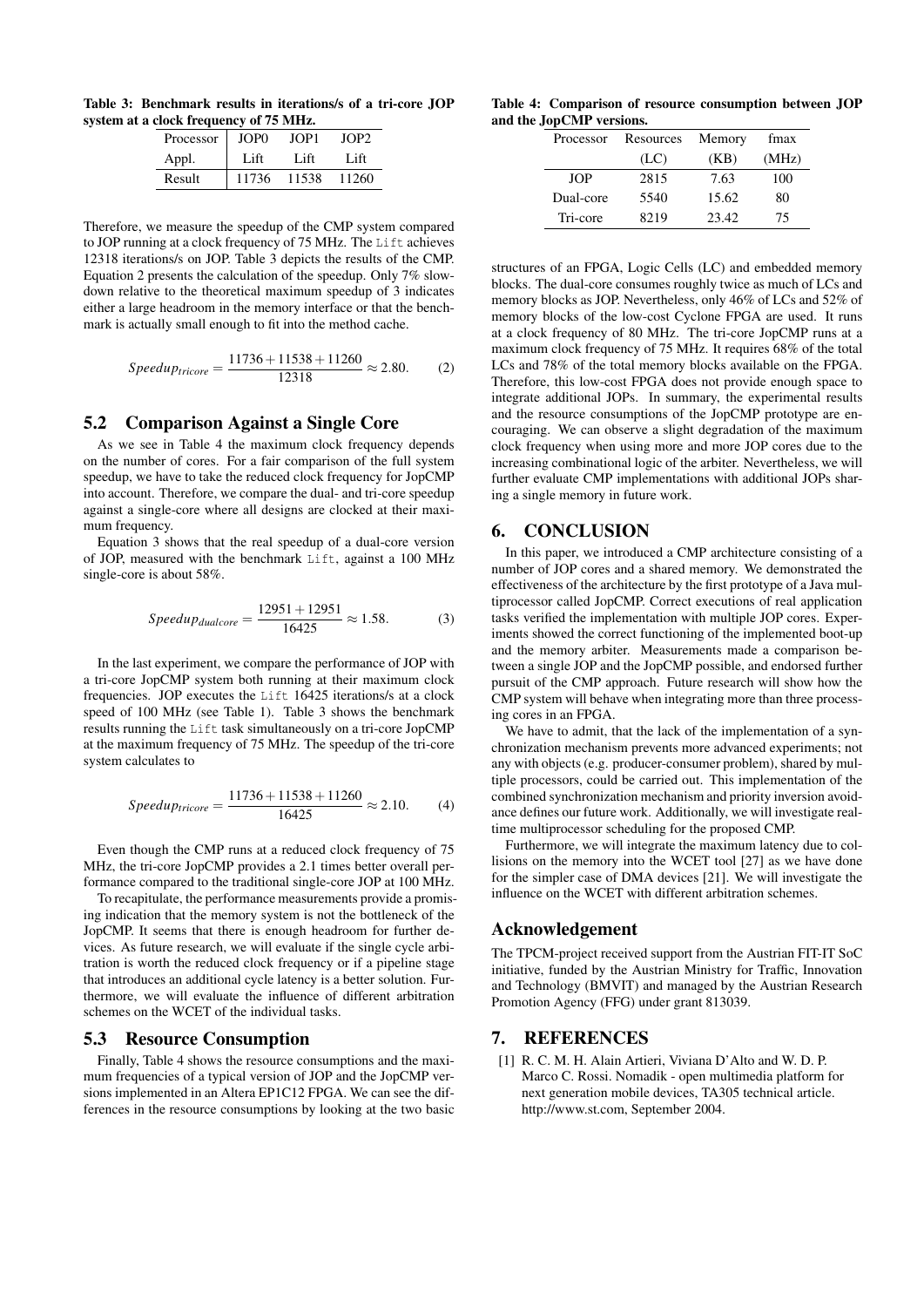Table 3: Benchmark results in iterations/s of a tri-core JOP system at a clock frequency of 75 MHz.

<span id="page-6-1"></span>

| Processor | JOP <sub>0</sub> | JOP1  | JOP2  |
|-----------|------------------|-------|-------|
| Appl.     | Lift             | Lift  | Lift. |
| Result    | 11736            | 11538 | 11260 |

Therefore, we measure the speedup of the CMP system compared to JOP running at a clock frequency of 75 MHz. The Lift achieves 12318 iterations/s on JOP. Table [3](#page-6-1) depicts the results of the CMP. Equation [2](#page-6-2) presents the calculation of the speedup. Only 7% slowdown relative to the theoretical maximum speedup of 3 indicates either a large headroom in the memory interface or that the benchmark is actually small enough to fit into the method cache.

<span id="page-6-2"></span>
$$
Speedup_{tricore} = \frac{11736 + 11538 + 11260}{12318} \approx 2.80.
$$
 (2)

## 5.2 Comparison Against a Single Core

As we see in Table [4](#page-6-3) the maximum clock frequency depends on the number of cores. For a fair comparison of the full system speedup, we have to take the reduced clock frequency for JopCMP into account. Therefore, we compare the dual- and tri-core speedup against a single-core where all designs are clocked at their maximum frequency.

Equation [3](#page-6-4) shows that the real speedup of a dual-core version of JOP, measured with the benchmark Lift, against a 100 MHz single-core is about 58%.

<span id="page-6-4"></span>
$$
Speedup_{dualcore} = \frac{12951 + 12951}{16425} \approx 1.58. \tag{3}
$$

In the last experiment, we compare the performance of JOP with a tri-core JopCMP system both running at their maximum clock frequencies. JOP executes the Lift 16425 iterations/s at a clock speed of 100 MHz (see Table [1\)](#page-5-1). Table [3](#page-6-1) shows the benchmark results running the Lift task simultaneously on a tri-core JopCMP at the maximum frequency of 75 MHz. The speedup of the tri-core system calculates to

$$
Speedup_{tricore} = \frac{11736 + 11538 + 11260}{16425} \approx 2.10.
$$
 (4)

Even though the CMP runs at a reduced clock frequency of 75 MHz, the tri-core JopCMP provides a 2.1 times better overall performance compared to the traditional single-core JOP at 100 MHz.

To recapitulate, the performance measurements provide a promising indication that the memory system is not the bottleneck of the JopCMP. It seems that there is enough headroom for further devices. As future research, we will evaluate if the single cycle arbitration is worth the reduced clock frequency or if a pipeline stage that introduces an additional cycle latency is a better solution. Furthermore, we will evaluate the influence of different arbitration schemes on the WCET of the individual tasks.

#### 5.3 Resource Consumption

Finally, Table [4](#page-6-3) shows the resource consumptions and the maximum frequencies of a typical version of JOP and the JopCMP versions implemented in an Altera EP1C12 FPGA. We can see the differences in the resource consumptions by looking at the two basic

Table 4: Comparison of resource consumption between JOP and the JopCMP versions.

<span id="page-6-3"></span>

| Processor  | Resources | Memory | fmax  |
|------------|-----------|--------|-------|
|            | (LC)      | (KB)   | (MHz) |
| <b>JOP</b> | 2815      | 7.63   | 100   |
| Dual-core  | 5540      | 15.62  | 80    |
| Tri-core   | 8219      | 23.42  | 75    |

structures of an FPGA, Logic Cells (LC) and embedded memory blocks. The dual-core consumes roughly twice as much of LCs and memory blocks as JOP. Nevertheless, only 46% of LCs and 52% of memory blocks of the low-cost Cyclone FPGA are used. It runs at a clock frequency of 80 MHz. The tri-core JopCMP runs at a maximum clock frequency of 75 MHz. It requires 68% of the total LCs and 78% of the total memory blocks available on the FPGA. Therefore, this low-cost FPGA does not provide enough space to integrate additional JOPs. In summary, the experimental results and the resource consumptions of the JopCMP prototype are encouraging. We can observe a slight degradation of the maximum clock frequency when using more and more JOP cores due to the increasing combinational logic of the arbiter. Nevertheless, we will further evaluate CMP implementations with additional JOPs sharing a single memory in future work.

## 6. CONCLUSION

In this paper, we introduced a CMP architecture consisting of a number of JOP cores and a shared memory. We demonstrated the effectiveness of the architecture by the first prototype of a Java multiprocessor called JopCMP. Correct executions of real application tasks verified the implementation with multiple JOP cores. Experiments showed the correct functioning of the implemented boot-up and the memory arbiter. Measurements made a comparison between a single JOP and the JopCMP possible, and endorsed further pursuit of the CMP approach. Future research will show how the CMP system will behave when integrating more than three processing cores in an FPGA.

We have to admit, that the lack of the implementation of a synchronization mechanism prevents more advanced experiments; not any with objects (e.g. producer-consumer problem), shared by multiple processors, could be carried out. This implementation of the combined synchronization mechanism and priority inversion avoidance defines our future work. Additionally, we will investigate realtime multiprocessor scheduling for the proposed CMP.

Furthermore, we will integrate the maximum latency due to collisions on the memory into the WCET tool [\[27\]](#page-7-30) as we have done for the simpler case of DMA devices [\[21\]](#page-7-29). We will investigate the influence on the WCET with different arbitration schemes.

#### Acknowledgement

The TPCM-project received support from the Austrian FIT-IT SoC initiative, funded by the Austrian Ministry for Traffic, Innovation and Technology (BMVIT) and managed by the Austrian Research Promotion Agency (FFG) under grant 813039.

## 7. REFERENCES

<span id="page-6-0"></span>[1] R. C. M. H. Alain Artieri, Viviana D'Alto and W. D. P. Marco C. Rossi. Nomadik - open multimedia platform for next generation mobile devices, TA305 technical article. http://www.st.com, September 2004.